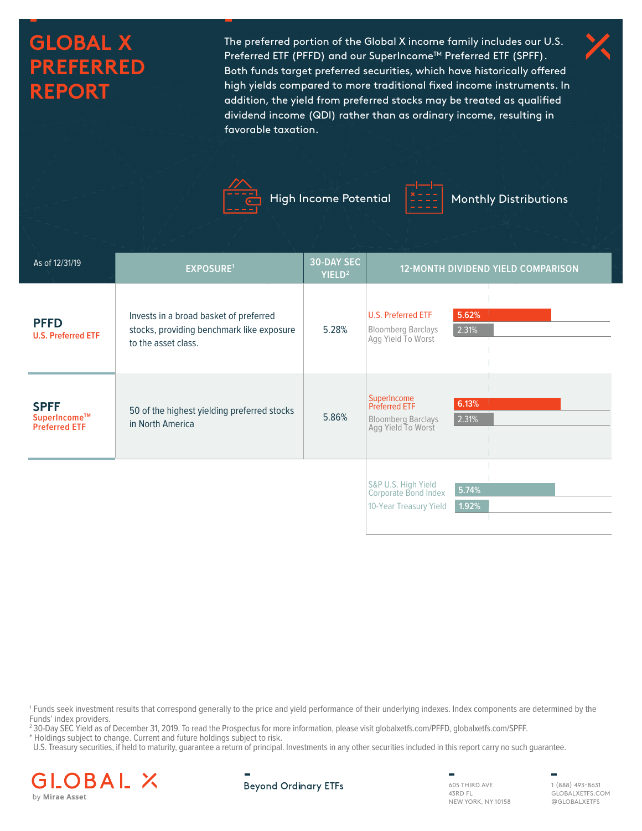# **GLOBAL X PREFERRED REPORT**

The preferred portion of the Global X income family includes our U.S. Preferred ETF (PFFD) and our SuperIncome™ Preferred ETF (SPFF). Both funds target preferred securities, which have historically offered high yields compared to more traditional fixed income instruments. In addition, the yield from preferred stocks may be treated as qualified dividend income (QDI) rather than as ordinary income, resulting in favorable taxation.





High Income Potential  $\begin{bmatrix} \frac{x}{2} & -\frac{y}{2} \\ 0 & -\frac{y}{2} \end{bmatrix}$  Monthly Distributions

| As of 12/31/19                                      | <b>EXPOSURE1</b>                                                                                           | 30-DAY SEC<br>YIELD <sup>2</sup> |                                                                          | <b>12-MONTH DIVIDEND YIELD COMPARISON</b> |
|-----------------------------------------------------|------------------------------------------------------------------------------------------------------------|----------------------------------|--------------------------------------------------------------------------|-------------------------------------------|
| <b>PFFD</b><br><b>U.S. Preferred ETF</b>            | Invests in a broad basket of preferred<br>stocks, providing benchmark like exposure<br>to the asset class. | 5.28%                            | U.S. Preferred ETF<br><b>Bloomberg Barclays</b><br>Agg Yield To Worst    | 5.62%<br>2.31%                            |
| <b>SPFF</b><br>SuperIncome™<br><b>Preferred ETF</b> | 50 of the highest yielding preferred stocks<br>in North America                                            | 5.86%                            | SuperIncome<br>Preferred ETF<br>Bloomberg Barclays<br>Agg Yield To Worst | 6.13%<br>2.31%                            |
|                                                     |                                                                                                            |                                  | S&P U.S. High Yield<br>Corporate Bond Index<br>10-Year Treasury Yield    | 5.74%<br>1.92%                            |

1 Funds seek investment results that correspond generally to the price and yield performance of their underlying indexes. Index components are determined by the Funds' index providers.

2 30-Day SEC Yield as of December 31, 2019. To read the Prospectus for more information, please visit globalxetfs.com/PFFD, globalxetfs.com/SPFF.

\* Holdings subject to change. Current and future holdings subject to risk.

U.S. Treasury securities, if held to maturity, guarantee a return of principal. Investments in any other securities included in this report carry no such guarantee.



605 THIRD AVE 43RD FL NEW YORK, NY 10158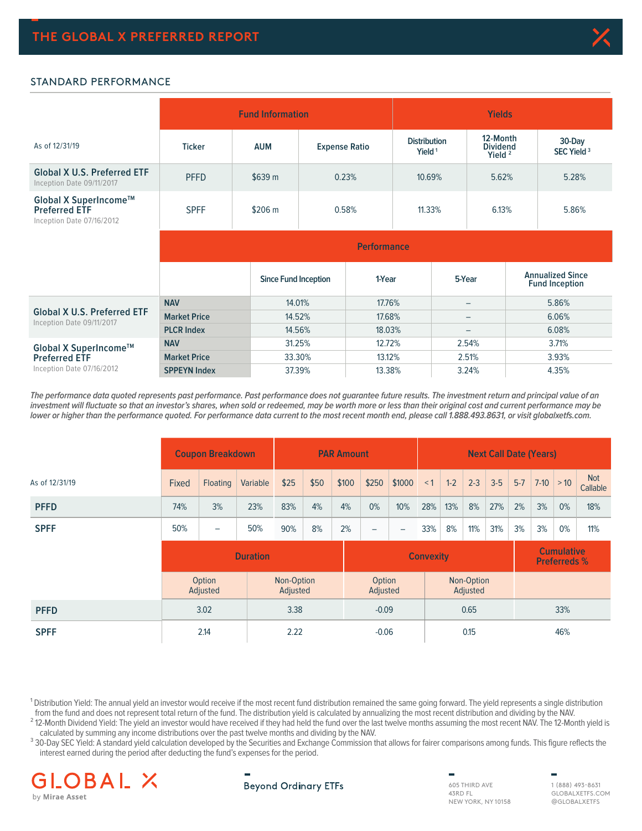

### STANDARD PERFORMANCE

|                                                                            |                     | <b>Fund Information</b>     |                      | <b>Yields</b>                             |                                          |                                                  |  |  |  |  |  |
|----------------------------------------------------------------------------|---------------------|-----------------------------|----------------------|-------------------------------------------|------------------------------------------|--------------------------------------------------|--|--|--|--|--|
| As of 12/31/19                                                             | <b>Ticker</b>       | <b>AUM</b>                  | <b>Expense Ratio</b> | <b>Distribution</b><br>Yield <sup>1</sup> | 12-Month<br><b>Dividend</b><br>Yield $2$ | 30-Day<br>SEC Yield <sup>3</sup>                 |  |  |  |  |  |
| <b>Global X U.S. Preferred ETF</b><br>Inception Date 09/11/2017            | <b>PFFD</b>         | \$639 m                     | 0.23%                |                                           | 5.62%                                    | 5.28%                                            |  |  |  |  |  |
| Global X SuperIncome™<br><b>Preferred ETF</b><br>Inception Date 07/16/2012 | <b>SPFF</b>         | \$206 m                     | 0.58%                | 11.33%                                    | 6.13%                                    | 5.86%                                            |  |  |  |  |  |
|                                                                            | <b>Performance</b>  |                             |                      |                                           |                                          |                                                  |  |  |  |  |  |
|                                                                            |                     | <b>Since Fund Inception</b> | 1-Year               |                                           | 5-Year                                   | <b>Annualized Since</b><br><b>Fund Inception</b> |  |  |  |  |  |
|                                                                            | <b>NAV</b>          |                             | 14.01%<br>17.76%     |                                           | -                                        | 5.86%                                            |  |  |  |  |  |
| <b>Global X U.S. Preferred ETF</b><br>Inception Date 09/11/2017            | <b>Market Price</b> |                             | 14.52%<br>17.68%     |                                           | $\qquad \qquad -$                        | 6.06%                                            |  |  |  |  |  |
|                                                                            | <b>PLCR Index</b>   |                             | 14.56%<br>18.03%     |                                           | $\qquad \qquad$                          | 6.08%                                            |  |  |  |  |  |
| Global X SuperIncome™                                                      | <b>NAV</b>          |                             | 31.25%<br>12.72%     |                                           | 2.54%                                    | 3.71%                                            |  |  |  |  |  |
| <b>Preferred ETF</b>                                                       | <b>Market Price</b> | 33.30%                      | 13.12%               |                                           | 2.51%                                    | 3.93%                                            |  |  |  |  |  |
| Inception Date 07/16/2012                                                  | <b>SPPEYN Index</b> |                             | 37.39%<br>13.38%     |                                           | 3.24%                                    | 4.35%                                            |  |  |  |  |  |

**The performance data quoted represents past performance. Past performance does not guarantee future results. The investment return and principal value of an investment will fluctuate so that an investor's shares, when sold or redeemed, may be worth more or less than their original cost and current performance may be lower or higher than the performance quoted. For performance data current to the most recent month end, please call 1.888.493.8631, or visit globalxetfs.com.**

|                | <b>Coupon Breakdown</b> |                    |          | <b>PAR Amount</b>      |         |       | <b>Next Call Date (Years)</b>                                |        |     |       |                        |       |         |             |    |                        |
|----------------|-------------------------|--------------------|----------|------------------------|---------|-------|--------------------------------------------------------------|--------|-----|-------|------------------------|-------|---------|-------------|----|------------------------|
| As of 12/31/19 | Fixed                   | Floating           | Variable | \$25                   | \$50    | \$100 | \$250                                                        | \$1000 | < 1 | $1-2$ | $2 - 3$                | $3-5$ | $5 - 7$ | $7-10$ > 10 |    | <b>Not</b><br>Callable |
| <b>PFFD</b>    | 74%                     | 3%                 | 23%      | 83%                    | 4%      | 4%    | 0%                                                           | 10%    | 28% | 13%   | 8%                     | 27%   | 2%      | 3%          | 0% | 18%                    |
| <b>SPFF</b>    | 50%                     | -                  | 50%      | 90%                    | 8%      | 2%    | $\overline{\phantom{0}}$                                     | -      | 33% | 8%    | 11%                    | 31%   | 3%      | 3%          | 0% | 11%                    |
|                | <b>Duration</b>         |                    |          |                        |         |       | <b>Cumulative</b><br><b>Convexity</b><br><b>Preferreds %</b> |        |     |       |                        |       |         |             |    |                        |
|                |                         | Option<br>Adjusted |          | Non-Option<br>Adjusted |         |       | Option<br>Adjusted                                           |        |     |       | Non-Option<br>Adjusted |       |         |             |    |                        |
| <b>PFFD</b>    | 3.02                    |                    | 3.38     |                        | $-0.09$ |       | 0.65                                                         |        | 33% |       |                        |       |         |             |    |                        |
| <b>SPFF</b>    | 2.14                    |                    |          | 2.22<br>$-0.06$        |         |       | 0.15                                                         |        |     | 46%   |                        |       |         |             |    |                        |

<sup>1</sup> Distribution Yield: The annual yield an investor would receive if the most recent fund distribution remained the same going forward. The yield represents a single distribution from the fund and does not represent total return of the fund. The distribution yield is calculated by annualizing the most recent distribution and dividing by the NAV.

<sup>2</sup> 12-Month Dividend Yield: The yield an investor would have received if they had held the fund over the last twelve months assuming the most recent NAV. The 12-Month yield is calculated by summing any income distributions over the past twelve months and dividing by the NAV.

<sup>3</sup> 30-Day SEC Yield: A standard yield calculation developed by the Securities and Exchange Commission that allows for fairer comparisons among funds. This figure reflects the interest earned during the period after deducting the fund's expenses for the period.



# **Beyond Ordinary ETFs**

605 THIRD AVE 43RD FL NEW YORK, NY 10158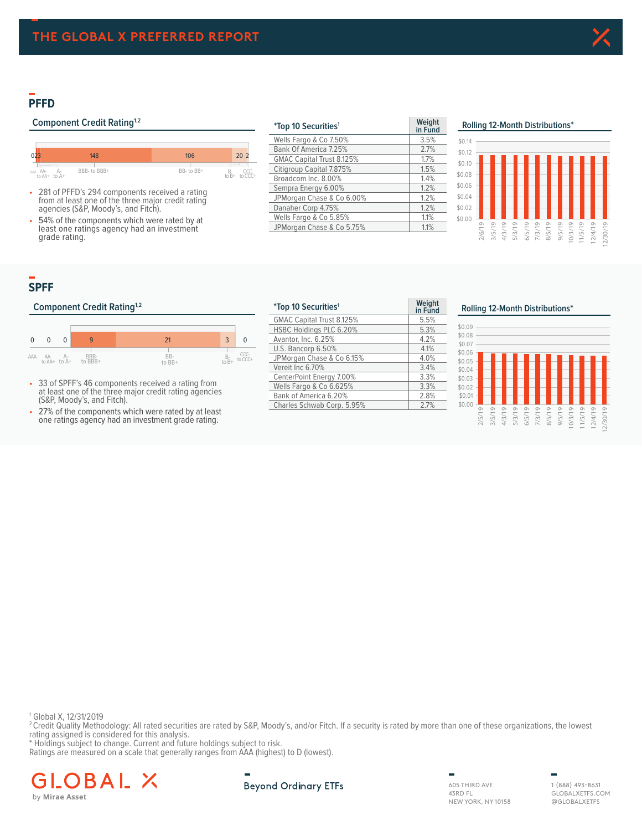# **PFFD**

# **Component Credit Rating<sup>1,2</sup>**



• 281 of PFFD's 294 components received a rating from at least one of the three major credit rating agencies (S&P, Moody's, and Fitch).

54% of the components which were rated by at least one ratings agency had an investment grade rating.

| <i>*Top 10 Securities<sup>1</sup></i> | Weight<br>in Fund |
|---------------------------------------|-------------------|
| Wells Fargo & Co 7.50%                | 3.5%              |
| Bank Of America 7.25%                 | 2.7%              |
| GMAC Capital Trust 8.125%             | 1.7%              |
| Citigroup Capital 7.875%              | 1.5%              |
| Broadcom Inc. 8.00%                   | 1.4%              |
| Sempra Energy 6.00%                   | 1.2%              |
| JPMorgan Chase & Co 6.00%             | 1.2%              |
| Danaher Corp 4.75%                    | 1.2%              |
| Wells Fargo & Co 5.85%                | 1.1%              |
| JPMorgan Chase & Co 5.75%             | 1.1%              |

## **PFFD Rolling 12 Month Distributions² Rolling 12-Month Distributions\***



# **SPFF**

#### **Component Credit Rating<sup>1,2</sup>**



- 33 of SPFF's 46 components received a rating from at least one of the three major credit rating agencies (S&P, Moody's, and Fitch).
- 27% of the components which were rated by at least one ratings agency had an investment grade rating.

| <i>*Top 10 Securities<sup>1</sup></i> | Weight<br>in Fund |
|---------------------------------------|-------------------|
| GMAC Capital Trust 8.125%             | 5.5%              |
| HSBC Holdings PLC 6.20%               | 5.3%              |
| Avantor, Inc. 6.25%                   | 4.2%              |
| U.S. Bancorp 6.50%                    | 4.1%              |
| JPMorgan Chase & Co 6.15%             | 4.0%              |
| Vereit Inc 6.70%                      | 3.4%              |
| CenterPoint Energy 7.00%              | 3.3%              |
| Wells Fargo & Co 6.625%               | 3.3%              |
| Bank of America 6.20%                 | 2.8%              |
| Charles Schwab Corp. 5.95%            | 2.7%              |

#### **Rolling 12-Month Distributions\***



1 Global X, 12/31/2019

<sup>2</sup> Credit Quality Methodology: All rated securities are rated by S&P, Moody's, and/or Fitch. If a security is rated by more than one of these organizations, the lowest rating assigned is considered for this analysis.

\* Holdings subject to change. Current and future holdings subject to risk.

Ratings are measured on a scale that generally ranges from AAA (highest) to D (lowest).



605 THIRD AVE 43RD FL NEW YORK, NY 10158